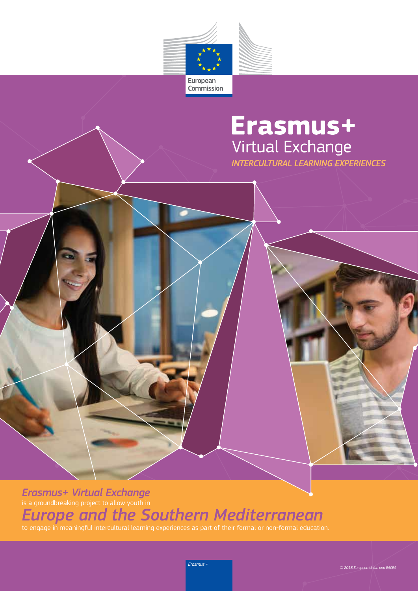

# **Erasmus+**<br>Virtual Exchange

**INTERCULTURAL LEARNING EXPERIENCES** 

*Erasmus+ Virtual Exchange*  is a groundbreaking project to allow youth in *Europe and the Southern Mediterranean* to engage in meaningful intercultural learning experiences as part of their formal or non-formal education.

*Erasmus +*

*© 2018 European Union and EACEA*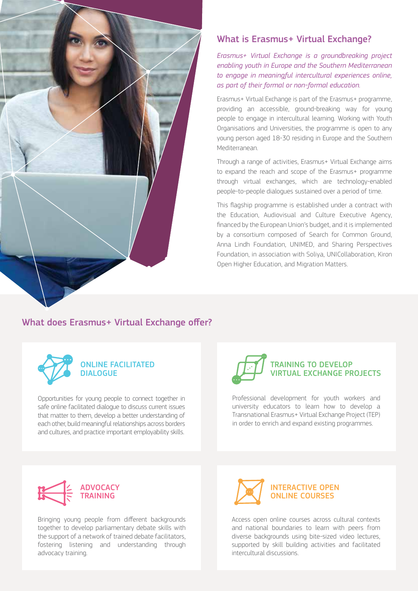

# What is Erasmus+ Virtual Exchange?

*Erasmus+ Virtual Exchange is a groundbreaking project enabling youth in Europe and the Southern Mediterranean to engage in meaningful intercultural experiences online, as part of their formal or non-formal education.*

Erasmus+ Virtual Exchange is part of the Erasmus+ programme, providing an accessible, ground-breaking way for young people to engage in intercultural learning. Working with Youth Organisations and Universities, the programme is open to any young person aged 18-30 residing in Europe and the Southern Mediterranean.

Through a range of activities, Erasmus+ Virtual Exchange aims to expand the reach and scope of the Erasmus+ programme through virtual exchanges, which are technology-enabled people-to-people dialogues sustained over a period of time.

This flagship programme is established under a contract with the Education, Audiovisual and Culture Executive Agency, financed by the European Union's budget, and it is implemented by a consortium composed of Search for Common Ground, Anna Lindh Foundation, UNIMED, and Sharing Perspectives Foundation, in association with Soliya, UNICollaboration, Kiron Open Higher Education, and Migration Matters.

## What does Erasmus+ Virtual Exchange offer?



#### ONLINE FACILITATED DIALOGUE

Opportunities for young people to connect together in safe online facilitated dialogue to discuss current issues that matter to them, develop a better understanding of each other, build meaningful relationships across borders and cultures, and practice important employability skills.



Professional development for youth workers and university educators to learn how to develop a Transnational Erasmus+ Virtual Exchange Project (TEP) in order to enrich and expand existing programmes.



Bringing young people from different backgrounds together to develop parliamentary debate skills with the support of a network of trained debate facilitators, fostering listening and understanding through advocacy training.



Access open online courses across cultural contexts and national boundaries to learn with peers from diverse backgrounds using bite-sized video lectures, supported by skill building activities and facilitated intercultural discussions.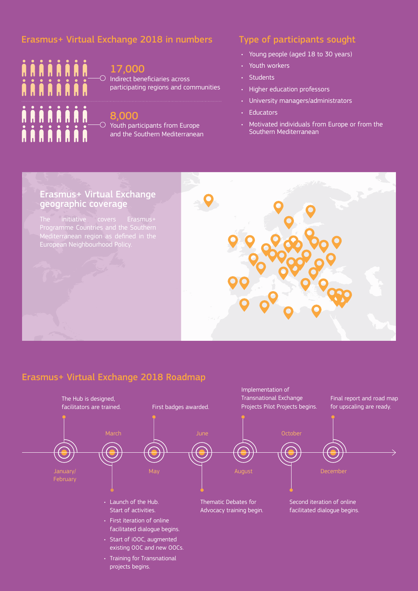# Erasmus+ Virtual Exchange 2018 in numbers Type of participants sought



#### 17,000

 $\circlearrowright$  Indirect beneficiaries across participating regions and communities

### 8,000

 $\circlearrowright$  Youth participants from Europe and the Southern Mediterranean

- Young people (aged 18 to 30 years)
- Youth workers
- Students
- Higher education professors
- University managers/administrators
- Educators
- Motivated individuals from Europe or from the Southern Mediterranean

# Erasmus+ Virtual Exchange geographic coverage

European Neighbourhood Policy.



# Erasmus+ Virtual Exchange 2018 Roadmap